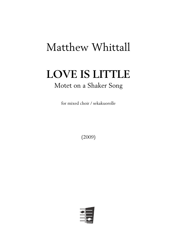## Matthew Whittall

## **LOVE IS LITTLE** Motet on a Shaker Song

for mixed choir / sekakuorolle

(2009)

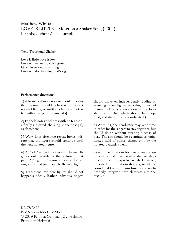## Matthew Whittall LOVE IS LITTLE – Motet on a Shaker Song (2009) for mixed choir / sekakuorolle

Text: Traditional Shaker

Love is little, love is low Love will make my spirit grow Grow in peace, grow in light Love will do the thing that's right

## **Performance directions**

1) A fermata above a note or chord indicates that the sound should be held until the next notated figure, or until a fade-out is indicated with a hairpin (diminuendo).

2) For held notes or chords with no text specifically indicated, the sung phoneme is [ə], as elsewhere.

3) Wavy lines after free repeat boxes indicate that the figure should continue until the next notated figure.

4) An "add" arrow indicates that the new figure should be added to the texture for that part. A "segue to" arrow indicates that all singers for that part move to the new figure.

5) Transitions into new figures should not happen suddenly. Rather, individual singers

should move on independently, adding or segueing to new figures in a calm, unhurried manner. (The one exception is the footstamp at m. 62, which should be sharp, loud, and rhythmically coordinated.)

6) At m. 34, the conductor may keep time in order for the singers to stay together, but should do so without creating a sense of beat. The aim should be a continuous, uninflected field of pulses, shaped only by the notated dynamic swells.

7) All time durations for free boxes are approximate and may be extended or shortened to meet interpretive needs. However, indicated time durations should generally be considered the minimum time necessary to properly integrate new elements into the texture.

KL 78.3411 ISMN 979-0-55011-590-3 © 2019 Fennica Gehrman Oy, Helsinki Printed in Helsinki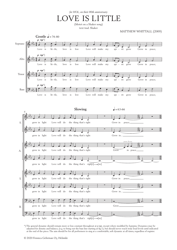*for HOL, on their 80th anniversary*

E IS LITTLE

text trad. Shaker (Motet on a Shaker song)

MATTHEW WHITTALL (2009)



\*) The general dynamic should remain more or less constant throughout at *p-mp*, except where modified by hairpins. Dynamics may be adjusted for density and balance, (e.g. to bring out the bass line starting at fig.1), but should never reach truly loud levels until indicated at the end of the piece. The aim should be for all performers to sing at a comfortable, soft dynamic at all times, regardless of register.